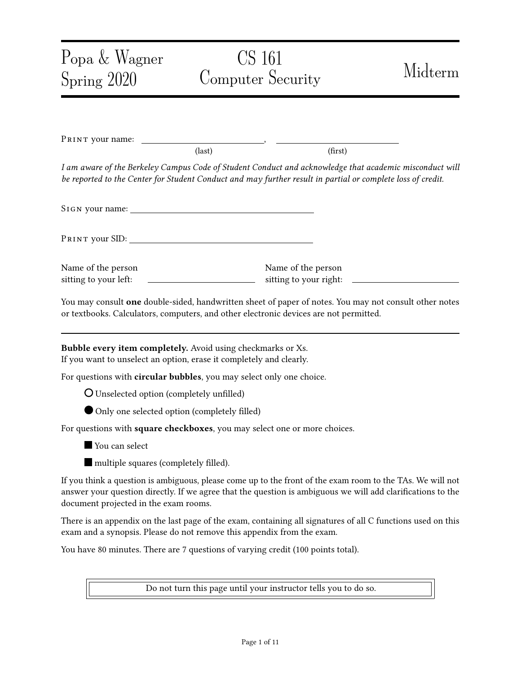# Popa & Wagner Spring 2020 CS 161 Computer Security Midterm PRINT your name:  $\text{(last)}$  (first) I am aware of the Berkeley Campus Code of Student Conduct and acknowledge that academic misconduct will be reported to the Center for Student Conduct and may further result in partial or complete loss of credit. SIGN your name: Pr int your SID: Name of the person sitting to your left: Name of the person sitting to your right: You may consult one double-sided, handwritten sheet of paper of notes. You may not consult other notes or textbooks. Calculators, computers, and other electronic devices are not permitted. Bubble every item completely. Avoid using checkmarks or Xs. If you want to unselect an option, erase it completely and clearly. For questions with circular bubbles, you may select only one choice. **O** Unselected option (completely unfilled) Only one selected option (completely filled) For questions with square checkboxes, you may select one or more choices. **You can select**  $\blacksquare$  multiple squares (completely filled). If you think a question is ambiguous, please come up to the front of the exam room to the TAs. We will not answer your question directly. If we agree that the question is ambiguous we will add clarifications to the document projected in the exam rooms. There is an appendix on the last page of the exam, containing all signatures of all C functions used on this exam and a synopsis. Please do not remove this appendix from the exam. You have 80 minutes. There are 7 questions of varying credit (100 points total).

Do not turn this page until your instructor tells you to do so.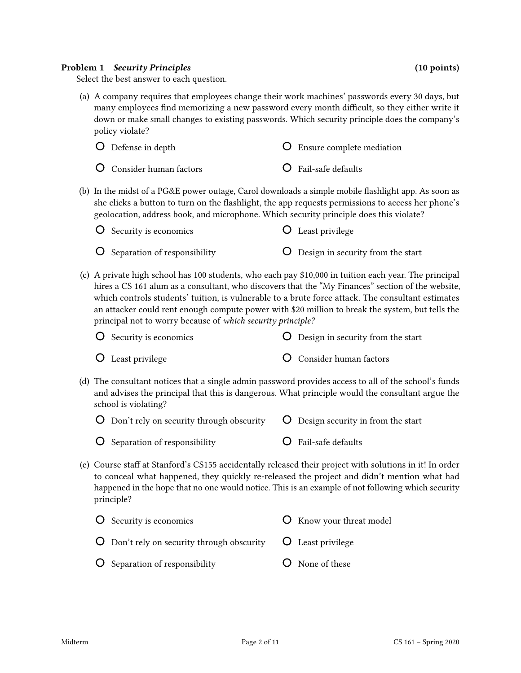#### Problem 1 Security Principles (10 points) (10 points)

Select the best answer to each question.

(a) A company requires that employees change their work machines' passwords every 30 days, but many employees find memorizing a new password every month difficult, so they either write it down or make small changes to existing passwords. Which security principle does the company's policy violate?

| <b>O</b> Defense in depth       | <b>O</b> Ensure complete mediation |
|---------------------------------|------------------------------------|
| <b>O</b> Consider human factors | O Fail-safe defaults               |

(b) In the midst of a PG&E power outage, Carol downloads a simple mobile flashlight app. As soon as she clicks a button to turn on the flashlight, the app requests permissions to access her phone's geolocation, address book, and microphone. Which security principle does this violate?

| $\bigcup$ Security is economics             | <b>C</b> Least privilege                   |
|---------------------------------------------|--------------------------------------------|
| $\overline{O}$ Separation of responsibility | <b>O</b> Design in security from the start |

(c) A private high school has 100 students, who each pay \$10,000 in tuition each year. The principal hires a CS 161 alum as a consultant, who discovers that the "My Finances" section of the website, which controls students' tuition, is vulnerable to a brute force attack. The consultant estimates an attacker could rent enough compute power with \$20 million to break the system, but tells the principal not to worry because of which security principle?

| <b>O</b> Security is economics | <b>O</b> Design in security from the start |
|--------------------------------|--------------------------------------------|
| <b>O</b> Least privilege       | <b>O</b> Consider human factors            |

(d) The consultant notices that a single admin password provides access to all of the school's funds and advises the principal that this is dangerous. What principle would the consultant argue the school is violating?

| $\bigcirc$ Don't rely on security through obscurity $\bigcirc$ Design security in from the start |                                   |
|--------------------------------------------------------------------------------------------------|-----------------------------------|
| $\bigcirc$ Separation of responsibility                                                          | $\overline{O}$ Fail-safe defaults |

(e) Course staff at Stanford's CS155 accidentally released their project with solutions in it! In order to conceal what happened, they quickly re-released the project and didn't mention what had happened in the hope that no one would notice. This is an example of not following which security principle?

| O Security is economics                                                                | <b>O</b> Know your threat model |
|----------------------------------------------------------------------------------------|---------------------------------|
| $\overline{O}$ Don't rely on security through obscurity $\overline{O}$ Least privilege |                                 |
| O Separation of responsibility                                                         | O None of these                 |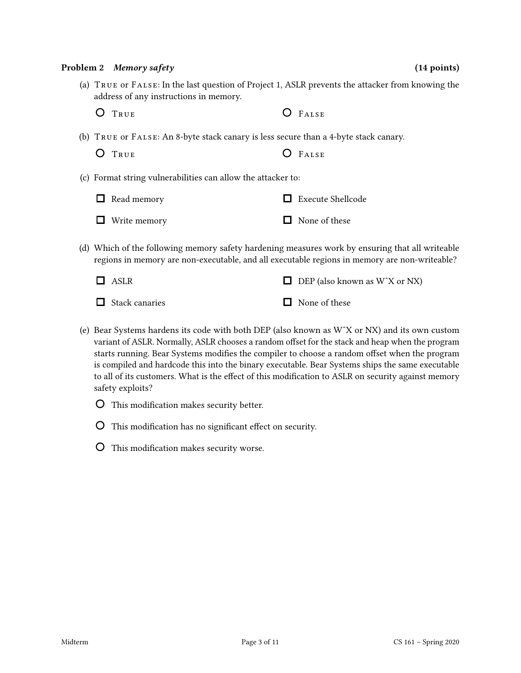# (c) Format string vulnerabilities can allow the attacker to:

| $\Box$ Read memory  | $\Box$ Execute Shellcode |
|---------------------|--------------------------|
| $\Box$ Write memory | $\Box$ None of these     |
|                     |                          |

(b) True or False: An 8-byte stack canary is less secure than a 4-byte stack canary.

(d) Which of the following memory safety hardening measures work by ensuring that all writeable regions in memory are non-executable, and all executable regions in memory are non-writeable?

(a) True or False: In the last question of Project 1, ASLR prevents the attacker from knowing the

| $\Box$ ASLR           | $\Box$ DEP (also known as W <sup><math>\chi</math></sup> or NX) |
|-----------------------|-----------------------------------------------------------------|
| $\Box$ Stack canaries | $\Box$ None of these                                            |

- (e) Bear Systems hardens its code with both DEP (also known as WˆX or NX) and its own custom variant of ASLR. Normally, ASLR chooses a random offset for the stack and heap when the program starts running. Bear Systems modifies the compiler to choose a random offset when the program is compiled and hardcode this into the binary executable. Bear Systems ships the same executable to all of its customers. What is the effect of this modification to ASLR on security against memory safety exploits?
	- O This modification makes security better.

address of any instructions in memory.

O TRUE O FALSE

O TRUE O FALSE

- $\overline{O}$  This modification has no significant effect on security.
- O This modification makes security worse.

Problem 2 Memory safety (14 points) (14 points)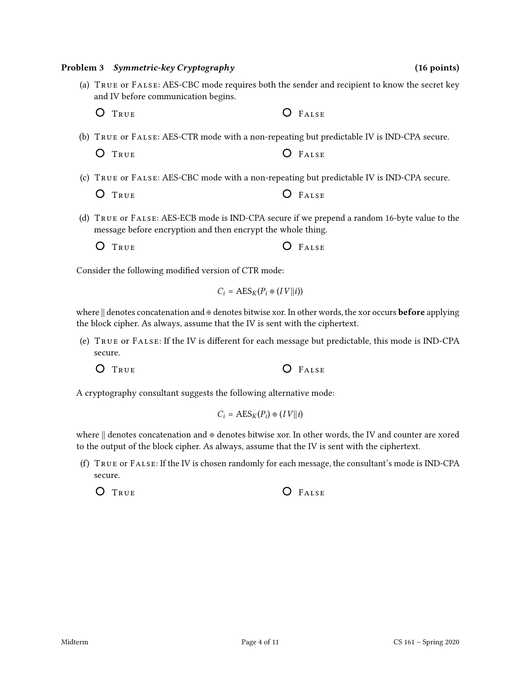(c) True or False: AES-CBC mode with a non-repeating but predictable IV is IND-CPA secure. O TRUE O FALSE

(d) True or False: AES-ECB mode is IND-CPA secure if we prepend a random 16-byte value to the message before encryption and then encrypt the whole thing.

(a) True or False: AES-CBC mode requires both the sender and recipient to know the secret key

(b) True or False: AES-CTR mode with a non-repeating but predictable IV is IND-CPA secure.

O TRUE **O** FALSE

O TRUE O FALSE

O TRUE O FALSE

Consider the following modified version of CTR mode:

$$
C_i = \text{AES}_K(P_i \oplus (IV||i))
$$

where  $\parallel$  denotes concatenation and ⊕ denotes bitwise xor. In other words, the xor occurs **before** applying the block cipher. As always, assume that the IV is sent with the ciphertext.

- (e) TRUE or FALSE: If the IV is different for each message but predictable, this mode is IND-CPA secure.
	- O TRUE O FALSE

A cryptography consultant suggests the following alternative mode:

$$
C_i = \text{AES}_K(P_i) \oplus (IV||i)
$$

where || denotes concatenation and ⊕ denotes bitwise xor. In other words, the IV and counter are xored to the output of the block cipher. As always, assume that the IV is sent with the ciphertext.

(f) True or False: If the IV is chosen randomly for each message, the consultant's mode is IND-CPA secure.

```
O TRUE O FALSE
```

| Problem 3 Symmetric-key Cryptograph |  |
|-------------------------------------|--|

and IV before communication begins.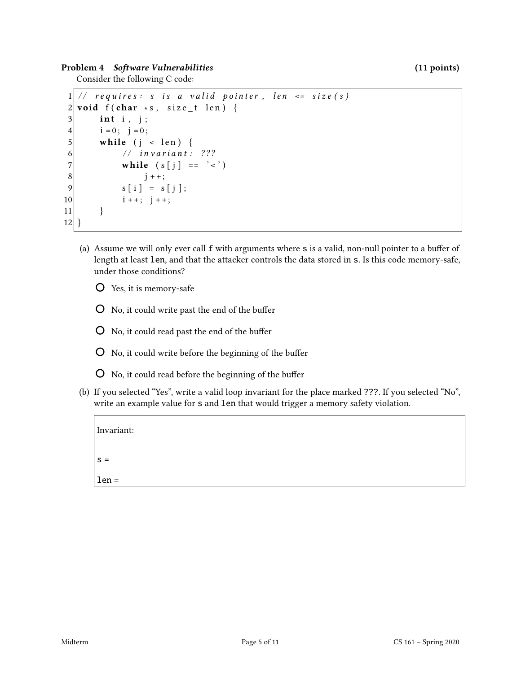Problem 4 Software Vulnerabilities (11 points) (11 points)

Consider the following C code:

```
1 // requires: s is a valid pointer, len \leq size(s)
2 void f (char *s, size_t len) {
3 int i, j;
4 i = 0; j = 0;5 while (j < len) {
6 // invariant: ???
7 while (s[j] == ' <')8 j^+ + ;
9 s[i] = s[j];10 i + +; j + +;11 }
12 }
```
- (a) Assume we will only ever call  $f$  with arguments where  $s$  is a valid, non-null pointer to a buffer of length at least len, and that the attacker controls the data stored in s. Is this code memory-safe, under those conditions?
	- Yes, it is memory-safe
	- $\overline{O}$  No, it could write past the end of the buffer
	- $\overline{O}$  No, it could read past the end of the buffer
	- $\overline{O}$  No, it could write before the beginning of the buffer
	- $O$  No, it could read before the beginning of the buffer
- (b) If you selected "Yes", write a valid loop invariant for the place marked ???. If you selected "No", write an example value for s and len that would trigger a memory safety violation.

| Invariant: |  |  |  |
|------------|--|--|--|
| $S =$      |  |  |  |
| $len =$    |  |  |  |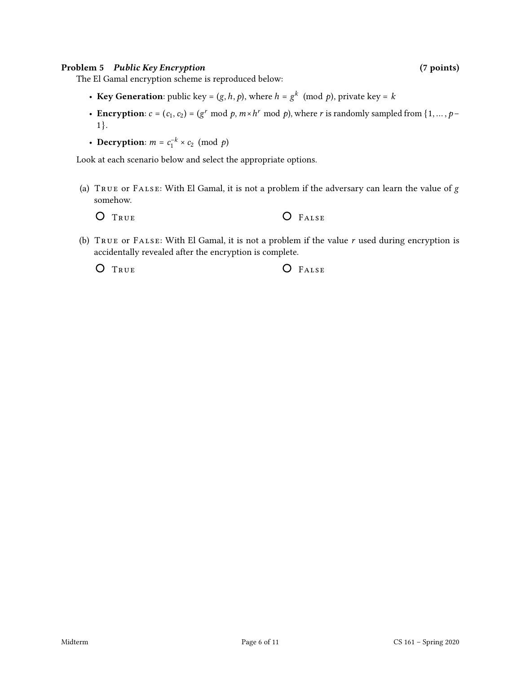#### Problem 5 Public Key Encryption (7 points) (7 points)

The El Gamal encryption scheme is reproduced below:

- Key Generation: public key =  $(g, h, p)$ , where  $h = g^k \pmod{p}$ , private key = k
- Encryption:  $c = (c_1, c_2) = (g^r \mod p, m \times h^r \mod p)$ , where r is randomly sampled from  $\{1, ..., p -$ 1}.
- Decryption:  $m = c_1^{-k} \times c_2 \pmod{p}$

Look at each scenario below and select the appropriate options.

(a)  $T_{RUE}$  or  $F_{ALSE}$ : With El Gamal, it is not a problem if the adversary can learn the value of  $g$ somehow.

| O FALSE |
|---------|
|         |

(b) TRUE OF FALSE: With El Gamal, it is not a problem if the value  $r$  used during encryption is accidentally revealed after the encryption is complete.

O TRUE O FALSE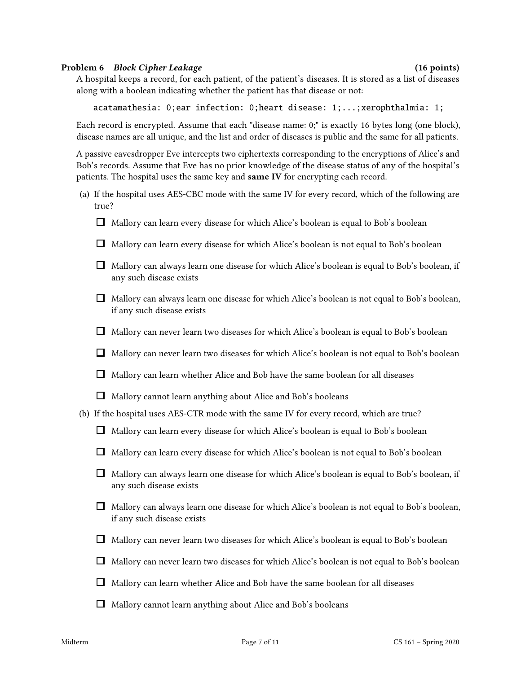#### Problem 6 Block Cipher Leakage (16 points) (16 points)

A hospital keeps a record, for each patient, of the patient's diseases. It is stored as a list of diseases along with a boolean indicating whether the patient has that disease or not:

acatamathesia: 0;ear infection: 0;heart disease: 1;...;xerophthalmia: 1;

Each record is encrypted. Assume that each "disease name: 0;" is exactly 16 bytes long (one block), disease names are all unique, and the list and order of diseases is public and the same for all patients.

A passive eavesdropper Eve intercepts two ciphertexts corresponding to the encryptions of Alice's and Bob's records. Assume that Eve has no prior knowledge of the disease status of any of the hospital's patients. The hospital uses the same key and same IV for encrypting each record.

- (a) If the hospital uses AES-CBC mode with the same IV for every record, which of the following are true?
	- $\Box$  Mallory can learn every disease for which Alice's boolean is equal to Bob's boolean
	- $\Box$  Mallory can learn every disease for which Alice's boolean is not equal to Bob's boolean
	- $\Box$  Mallory can always learn one disease for which Alice's boolean is equal to Bob's boolean, if any such disease exists
	- $\Box$  Mallory can always learn one disease for which Alice's boolean is not equal to Bob's boolean, if any such disease exists
	- $\Box$  Mallory can never learn two diseases for which Alice's boolean is equal to Bob's boolean
	- $\Box$  Mallory can never learn two diseases for which Alice's boolean is not equal to Bob's boolean
	- $\Box$  Mallory can learn whether Alice and Bob have the same boolean for all diseases
	- $\Box$  Mallory cannot learn anything about Alice and Bob's booleans
- (b) If the hospital uses AES-CTR mode with the same IV for every record, which are true?
	- $\Box$  Mallory can learn every disease for which Alice's boolean is equal to Bob's boolean
	- $\Box$  Mallory can learn every disease for which Alice's boolean is not equal to Bob's boolean
	- $\Box$  Mallory can always learn one disease for which Alice's boolean is equal to Bob's boolean, if any such disease exists
	- $\Box$  Mallory can always learn one disease for which Alice's boolean is not equal to Bob's boolean, if any such disease exists
	- $\Box$  Mallory can never learn two diseases for which Alice's boolean is equal to Bob's boolean
	- $\Box$  Mallory can never learn two diseases for which Alice's boolean is not equal to Bob's boolean
	- $\Box$  Mallory can learn whether Alice and Bob have the same boolean for all diseases
	- $\Box$  Mallory cannot learn anything about Alice and Bob's booleans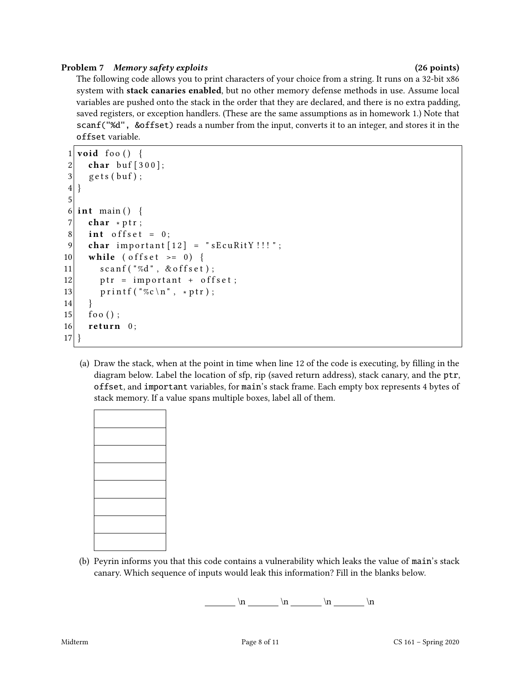### Problem 7 Memory safety exploits (26 points) (26 points)

The following code allows you to print characters of your choice from a string. It runs on a 32-bit x86 system with stack canaries enabled, but no other memory defense methods in use. Assume local variables are pushed onto the stack in the order that they are declared, and there is no extra padding, saved registers, or exception handlers. (These are the same assumptions as in homework 1.) Note that scanf("%d", &offset) reads a number from the input, converts it to an integer, and stores it in the offset variable.

```
1 void foo () {
2 char buf [300];
3 \mid gets (buf);
\overline{4}5
6 int main () {
7 char * ptr;
8 int offset = 0;
9 char important [12] = "sEcuRitY!!";
10 while ( offset \ge = 0) {
11 scanf ("%d", & offset);
12 ptr = important + offset;
13 printf ("%c\n", *ptr);
14 }
15 foo ();
16 return 0;
17 }
```
(a) Draw the stack, when at the point in time when line 12 of the code is executing, by lling in the diagram below. Label the location of sfp, rip (saved return address), stack canary, and the ptr, offset, and important variables, for main's stack frame. Each empty box represents 4 bytes of stack memory. If a value spans multiple boxes, label all of them.

(b) Peyrin informs you that this code contains a vulnerability which leaks the value of main's stack canary. Which sequence of inputs would leak this information? Fill in the blanks below.

 $\ln \ln \ln \ln \ln \ln$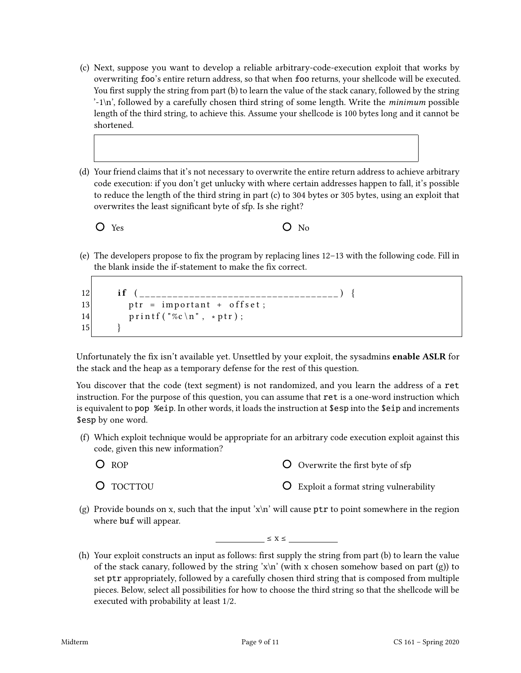- (c) Next, suppose you want to develop a reliable arbitrary-code-execution exploit that works by overwriting foo's entire return address, so that when foo returns, your shellcode will be executed. You first supply the string from part (b) to learn the value of the stack canary, followed by the string  $\cdot$ -1\n', followed by a carefully chosen third string of some length. Write the *minimum* possible length of the third string, to achieve this. Assume your shellcode is 100 bytes long and it cannot be shortened.
- (d) Your friend claims that it's not necessary to overwrite the entire return address to achieve arbitrary code execution: if you don't get unlucky with where certain addresses happen to fall, it's possible to reduce the length of the third string in part (c) to 304 bytes or 305 bytes, using an exploit that overwrites the least significant byte of sfp. Is she right?



(e) The developers propose to fix the program by replacing lines  $12-13$  with the following code. Fill in the blank inside the if-statement to make the fix correct.

```
12 i f ( ____________________________________ ) {
13 ptr = important + offset;
14 printf ("%c\n", *ptr);
15 }
```
Unfortunately the fix isn't available yet. Unsettled by your exploit, the sysadmins enable ASLR for the stack and the heap as a temporary defense for the rest of this question.

You discover that the code (text segment) is not randomized, and you learn the address of a ret instruction. For the purpose of this question, you can assume that ret is a one-word instruction which is equivalent to pop %eip. In other words, it loads the instruction at \$esp into the \$eip and increments \$esp by one word.

- (f) Which exploit technique would be appropriate for an arbitrary code execution exploit against this code, given this new information?
	- $O$  ROP

 $\overline{O}$  Overwrite the first byte of sfp

O TOCTTOU

- Exploit a format string vulnerability
- (g) Provide bounds on x, such that the input 'x\n' will cause  $ptr$  to point somewhere in the region where buf will appear.

 $\leq$   $X \leq$   $\qquad$ 

(h) Your exploit constructs an input as follows: first supply the string from part (b) to learn the value of the stack canary, followed by the string 'x\n' (with x chosen somehow based on part (g)) to set ptr appropriately, followed by a carefully chosen third string that is composed from multiple pieces. Below, select all possibilities for how to choose the third string so that the shellcode will be executed with probability at least 1/2.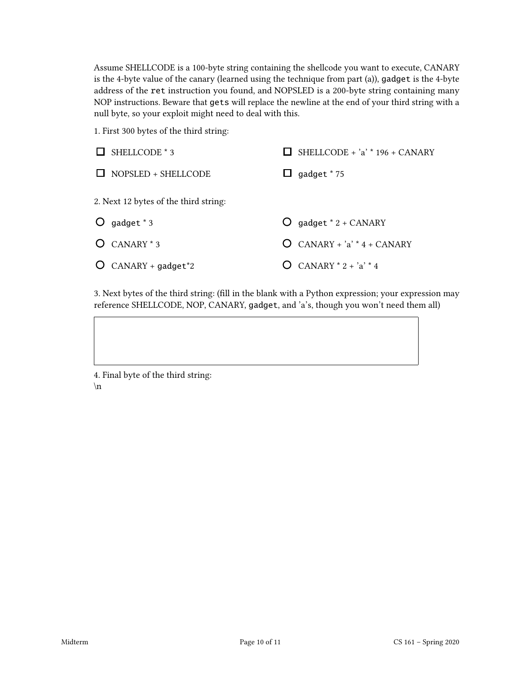Assume SHELLCODE is a 100-byte string containing the shellcode you want to execute, CANARY is the 4-byte value of the canary (learned using the technique from part (a)), gadget is the 4-byte address of the ret instruction you found, and NOPSLED is a 200-byte string containing many NOP instructions. Beware that gets will replace the newline at the end of your third string with a null byte, so your exploit might need to deal with this.

1. First 300 bytes of the third string:

| SHELLCODE * 3<br>$\Box$               | SHELLCODE + $a'$ * 196 + CANARY   |
|---------------------------------------|-----------------------------------|
| NOPSLED + SHELLCODE<br>$\mathbf{I}$   | gadget * 75<br>ப                  |
| 2. Next 12 bytes of the third string: |                                   |
| $\bigcirc$ gadget * 3                 | $O$ gadget * 2 + CANARY           |
| $O$ CANARY $*$ 3                      | $CANARY + 'a' * 4 + CANARY$       |
| $O$ CANARY + gadget <sup>*2</sup>     | CANARY $*$ 2 + $a$ <sup>*</sup> 4 |

3. Next bytes of the third string: (fill in the blank with a Python expression; your expression may reference SHELLCODE, NOP, CANARY, gadget, and 'a's, though you won't need them all)

4. Final byte of the third string:  $\ln$